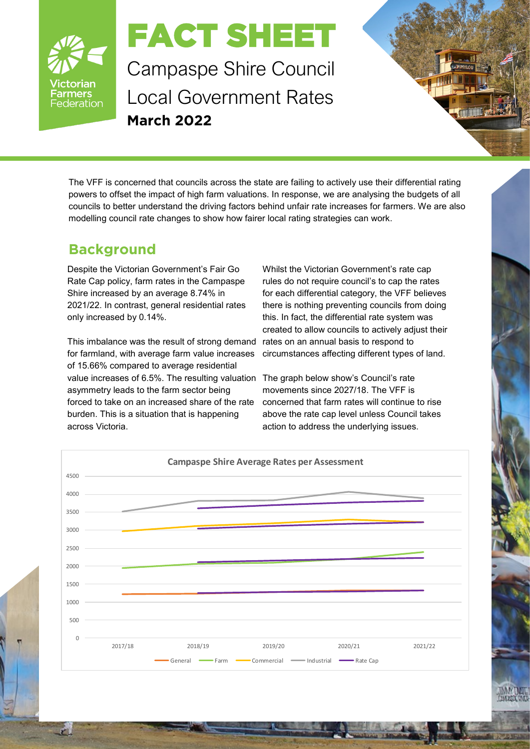

## FACT SHEET

Campaspe Shire Council Local Government Rates **March 2022**

The VFF is concerned that councils across the state are failing to actively use their differential rating powers to offset the impact of high farm valuations. In response, we are analysing the budgets of all councils to better understand the driving factors behind unfair rate increases for farmers. We are also modelling council rate changes to show how fairer local rating strategies can work.

## **Background**

Despite the Victorian Government's Fair Go Rate Cap policy, farm rates in the Campaspe Shire increased by an average 8.74% in 2021/22. In contrast, general residential rates only increased by 0.14%.

This imbalance was the result of strong demand for farmland, with average farm value increases of 15.66% compared to average residential value increases of 6.5%. The resulting valuation asymmetry leads to the farm sector being forced to take on an increased share of the rate burden. This is a situation that is happening across Victoria.

Whilst the Victorian Government's rate cap rules do not require council's to cap the rates for each differential category, the VFF believes there is nothing preventing councils from doing this. In fact, the differential rate system was created to allow councils to actively adjust their rates on an annual basis to respond to circumstances affecting different types of land.

The graph below show's Council's rate movements since 2027/18. The VFF is concerned that farm rates will continue to rise above the rate cap level unless Council takes action to address the underlying issues.